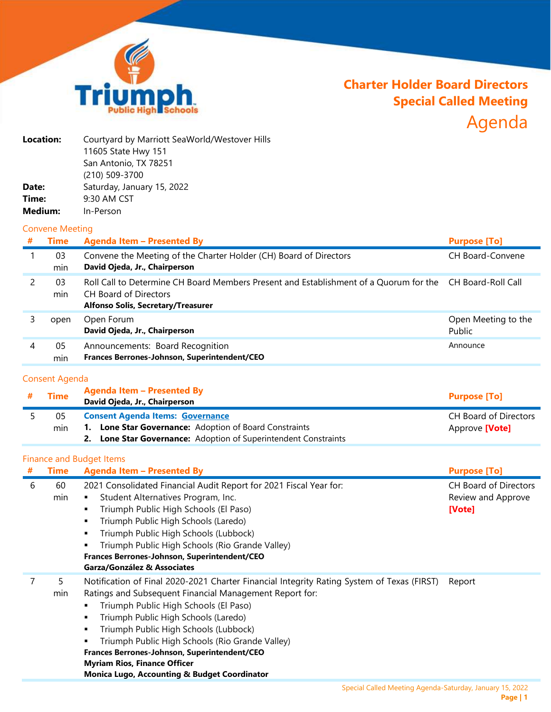

# **Charter Holder Board Directors Special Called Meeting** Agenda

| Location: | Courtyard by Marriott SeaWorld/Westover Hills |
|-----------|-----------------------------------------------|
|           | 11605 State Hwy 151                           |
|           | San Antonio, TX 78251                         |
|           | (210) 509-3700                                |
| Date:     | Saturday, January 15, 2022                    |
| Time:     | 9:30 AM CST                                   |
| Medium:   | In-Person                                     |
|           |                                               |

#### Convene Meeting

| Time      | <b>Agenda Item - Presented By</b>                                                                                                                                              | <b>Purpose [To]</b>           |
|-----------|--------------------------------------------------------------------------------------------------------------------------------------------------------------------------------|-------------------------------|
| 03<br>min | Convene the Meeting of the Charter Holder (CH) Board of Directors<br>David Ojeda, Jr., Chairperson                                                                             | <b>CH Board-Convene</b>       |
| 03<br>min | Roll Call to Determine CH Board Members Present and Establishment of a Quorum for the CH Board-Roll Call<br>CH Board of Directors<br><b>Alfonso Solis, Secretary/Treasurer</b> |                               |
| open      | Open Forum<br>David Ojeda, Jr., Chairperson                                                                                                                                    | Open Meeting to the<br>Public |
| 05<br>min | Announcements: Board Recognition<br>Frances Berrones-Johnson, Superintendent/CEO                                                                                               | Announce                      |
|           |                                                                                                                                                                                |                               |

# Consent Agenda

| # | <b>Time</b> | Agenda Item - Presented By<br>David Ojeda, Jr., Chairperson     | <b>Purpose [To]</b>   |
|---|-------------|-----------------------------------------------------------------|-----------------------|
|   | ሰ5          | <b>Consent Agenda Items: Governance</b>                         | CH Board of Directors |
|   | min         | 1. Lone Star Governance: Adoption of Board Constraints          | Approve <b>[Vote]</b> |
|   |             | 2. Lone Star Governance: Adoption of Superintendent Constraints |                       |

## Finance and Budget Items

| # | Time      | <b>Agenda Item - Presented By</b>                                                                                                                                                                                                                                                                                                                                                                                                                                                    | <b>Purpose [To]</b>                                          |
|---|-----------|--------------------------------------------------------------------------------------------------------------------------------------------------------------------------------------------------------------------------------------------------------------------------------------------------------------------------------------------------------------------------------------------------------------------------------------------------------------------------------------|--------------------------------------------------------------|
| 6 | 60<br>min | 2021 Consolidated Financial Audit Report for 2021 Fiscal Year for:<br>Student Alternatives Program, Inc.<br>Triumph Public High Schools (El Paso)<br>Triumph Public High Schools (Laredo)<br>Triumph Public High Schools (Lubbock)<br>Triumph Public High Schools (Rio Grande Valley)<br>Frances Berrones-Johnson, Superintendent/CEO<br>Garza/González & Associates                                                                                                                 | <b>CH Board of Directors</b><br>Review and Approve<br>[Vote] |
|   | 5<br>min  | Notification of Final 2020-2021 Charter Financial Integrity Rating System of Texas (FIRST)<br>Ratings and Subsequent Financial Management Report for:<br>Triumph Public High Schools (El Paso)<br>Triumph Public High Schools (Laredo)<br>Triumph Public High Schools (Lubbock)<br>Triumph Public High Schools (Rio Grande Valley)<br>Frances Berrones-Johnson, Superintendent/CEO<br><b>Myriam Rios, Finance Officer</b><br><b>Monica Lugo, Accounting &amp; Budget Coordinator</b> | Report                                                       |